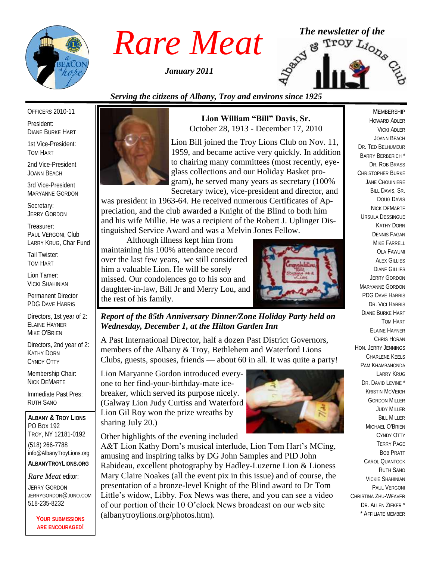

*January 2011*



# *Serving the citizens of Albany, Troy and environs since 1925*

#### OFFICERS 2010-11

President: DIANE BURKE HART

1st Vice-President: TOM HART

2nd Vice-President JOANN BEACH

3rd Vice-President MARYANNE GORDON

Secretary: JERRY GORDON

Treasurer: PAUL VERGONI, Club LARRY KRUG, Char Fund

Tail Twister: TOM HART

Lion Tamer: VICKI SHAHINIAN

Permanent Director PDG DAVE HARRIS

Directors, 1st year of 2: ELAINE HAYNER MIKE O'BRIEN

Directors, 2nd year of 2: KATHY DORN CYNDY OTTY

Membership Chair: NICK DEMARTE

Immediate Past Pres: RUTH SANO

**ALBANY & TROY LIONS** PO BOX 192 TROY, NY 12181-0192 (518) 266-7788 info@AlbanyTroyLions.org **ALBANYTROYLIONS.ORG**

*Rare Meat* editor:

JERRY GORDON JERRYGORDON@JUNO.COM 518-235-8232

> **YOUR SUBMISSIONS ARE ENCOURAGED!**



**Lion William "Bill" Davis, Sr.** October 28, 1913 - December 17, 2010

Lion Bill joined the Troy Lions Club on Nov. 11, 1959, and became active very quickly. In addition to chairing many committees (most recently, eyeglass collections and our Holiday Basket program), he served many years as secretary (100% Secretary twice), vice-president and director, and

was president in 1963-64. He received numerous Certificates of Appreciation, and the club awarded a Knight of the Blind to both him and his wife Millie. He was a recipient of the Robert J. Uplinger Distinguished Service Award and was a Melvin Jones Fellow.

Although illness kept him from maintaining his 100% attendance record over the last few years, we still considered him a valuable Lion. He will be sorely missed. Our condolences go to his son and daughter-in-law, Bill Jr and Merry Lou, and the rest of his family.



*Report of the 85th Anniversary Dinner/Zone Holiday Party held on Wednesday, December 1, at the Hilton Garden Inn*

A Past International Director, half a dozen Past District Governors, members of the Albany & Troy, Bethlehem and Waterford Lions Clubs, guests, spouses, friends — about 60 in all. It was quite a party!

Lion Maryanne Gordon introduced everyone to her find-your-birthday-mate icebreaker, which served its purpose nicely. (Galway Lion Judy Curtiss and Waterford Lion Gil Roy won the prize wreaths by sharing July 20.)

Other highlights of the evening included



A&T Lion Kathy Dorn's musical interlude, Lion Tom Hart's MCing, amusing and inspiring talks by DG John Samples and PID John Rabideau, excellent photography by Hadley-Luzerne Lion & Lioness Mary Claire Noakes (all the event pix in this issue) and of course, the presentation of a bronze-level Knight of the Blind award to Dr Tom Little's widow, Libby. Fox News was there, and you can see a video of our portion of their 10 O'clock News broadcast on our web site (albanytroylions.org/photos.htm).

### MEMBERSHIP

HOWARD ADLER VICKI ADLER JOANN BEACH DR. TED BELHUMEUR BARRY BERBERICH \* DR. ROB BRASS CHRISTOPHER BURKE JANE CHOUINIERE BILL DAVIS, SR. DOUG DAVIS NICK DEMARTE URSULA DESSINGUE KATHY DORN DENNIS FAGAN MIKE FARRELL OLA FAWUMI **ALEX GILLIES** DIANE GILLIES JERRY GORDON MARYANNE GORDON PDG DAVE HARRIS DR. VICI HARRIS DIANE BURKE HART TOM HART ELAINE HAYNER CHRIS HORAN HON. JERRY JENNINGS CHARLENE KEELS PAM KHAMBANONDA LARRY KRUG DR. DAVID LEVINE<sup>\*</sup> KRISTIN MCVEIGH GORDON MILLER JUDY MILLER **BILL MILLER** MICHAEL O'BRIEN CYNDY OTTY TERRY PAGE BOB PRATT CAROL QUANTOCK RUTH SANO VICKIE SHAHINIAN PAUL VERGONI CHRISTINA ZHU-WEAVER DR. ALLEN ZIEKER \* \* AFFILIATE MEMBER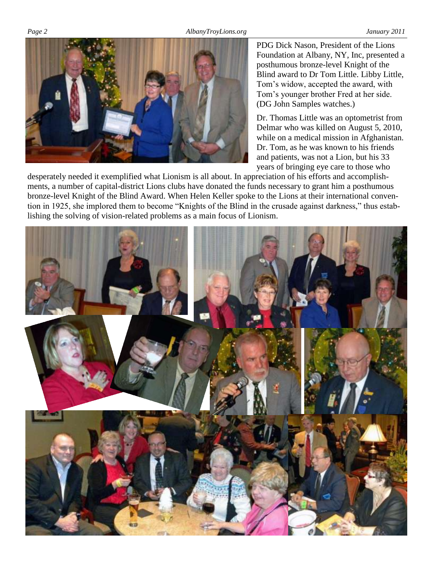

PDG Dick Nason, President of the Lions Foundation at Albany, NY, Inc, presented a posthumous bronze-level Knight of the Blind award to Dr Tom Little. Libby Little, Tom's widow, accepted the award, with Tom's younger brother Fred at her side. (DG John Samples watches.)

Dr. Thomas Little was an optometrist from Delmar who was killed on August 5, 2010, while on a medical mission in Afghanistan. Dr. Tom, as he was known to his friends and patients, was not a Lion, but his 33 years of bringing eye care to those who

desperately needed it exemplified what Lionism is all about. In appreciation of his efforts and accomplishments, a number of capital-district Lions clubs have donated the funds necessary to grant him a posthumous bronze-level Knight of the Blind Award. When Helen Keller spoke to the Lions at their international convention in 1925, she implored them to become "Knights of the Blind in the crusade against darkness," thus establishing the solving of vision-related problems as a main focus of Lionism.

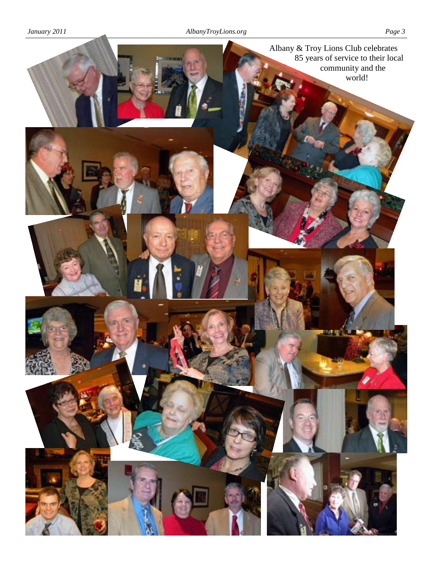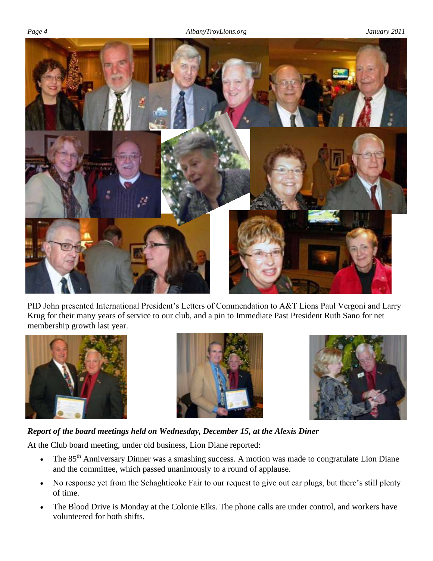

PID John presented International President's Letters of Commendation to A&T Lions Paul Vergoni and Larry Krug for their many years of service to our club, and a pin to Immediate Past President Ruth Sano for net membership growth last year.







# *Report of the board meetings held on Wednesday, December 15, at the Alexis Diner*

At the Club board meeting, under old business, Lion Diane reported:

- The  $85<sup>th</sup>$  Anniversary Dinner was a smashing success. A motion was made to congratulate Lion Diane and the committee, which passed unanimously to a round of applause.
- No response yet from the Schaghticoke Fair to our request to give out ear plugs, but there's still plenty of time.
- The Blood Drive is Monday at the Colonie Elks. The phone calls are under control, and workers have volunteered for both shifts.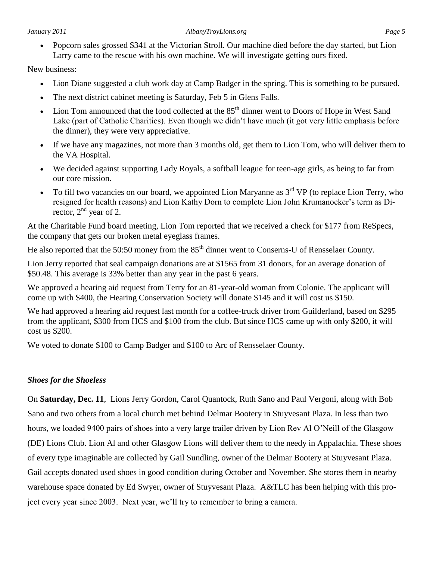Popcorn sales grossed \$341 at the Victorian Stroll. Our machine died before the day started, but Lion Larry came to the rescue with his own machine. We will investigate getting ours fixed.

New business:

- Lion Diane suggested a club work day at Camp Badger in the spring. This is something to be pursued.
- The next district cabinet meeting is Saturday, Feb 5 in Glens Falls.
- $\bullet$  Lion Tom announced that the food collected at the 85<sup>th</sup> dinner went to Doors of Hope in West Sand Lake (part of Catholic Charities). Even though we didn't have much (it got very little emphasis before the dinner), they were very appreciative.
- If we have any magazines, not more than 3 months old, get them to Lion Tom, who will deliver them to the VA Hospital.
- We decided against supporting Lady Royals, a softball league for teen-age girls, as being to far from our core mission.
- To fill two vacancies on our board, we appointed Lion Maryanne as  $3<sup>rd</sup> VP$  (to replace Lion Terry, who resigned for health reasons) and Lion Kathy Dorn to complete Lion John Krumanocker's term as Director,  $2<sup>nd</sup>$  year of 2.

At the Charitable Fund board meeting, Lion Tom reported that we received a check for \$177 from ReSpecs, the company that gets our broken metal eyeglass frames.

He also reported that the 50:50 money from the 85<sup>th</sup> dinner went to Conserns-U of Rensselaer County.

Lion Jerry reported that seal campaign donations are at \$1565 from 31 donors, for an average donation of \$50.48. This average is 33% better than any year in the past 6 years.

We approved a hearing aid request from Terry for an 81-year-old woman from Colonie. The applicant will come up with \$400, the Hearing Conservation Society will donate \$145 and it will cost us \$150.

We had approved a hearing aid request last month for a coffee-truck driver from Guilderland, based on \$295 from the applicant, \$300 from HCS and \$100 from the club. But since HCS came up with only \$200, it will cost us \$200.

We voted to donate \$100 to Camp Badger and \$100 to Arc of Rensselaer County.

# *Shoes for the Shoeless*

On **Saturday, Dec. 11**, Lions Jerry Gordon, Carol Quantock, Ruth Sano and Paul Vergoni, along with Bob Sano and two others from a local church met behind Delmar Bootery in Stuyvesant Plaza. In less than two hours, we loaded 9400 pairs of shoes into a very large trailer driven by Lion Rev Al O'Neill of the Glasgow (DE) Lions Club. Lion Al and other Glasgow Lions will deliver them to the needy in Appalachia. These shoes of every type imaginable are collected by Gail Sundling, owner of the Delmar Bootery at Stuyvesant Plaza. Gail accepts donated used shoes in good condition during October and November. She stores them in nearby warehouse space donated by Ed Swyer, owner of Stuyvesant Plaza. A&TLC has been helping with this project every year since 2003. Next year, we'll try to remember to bring a camera.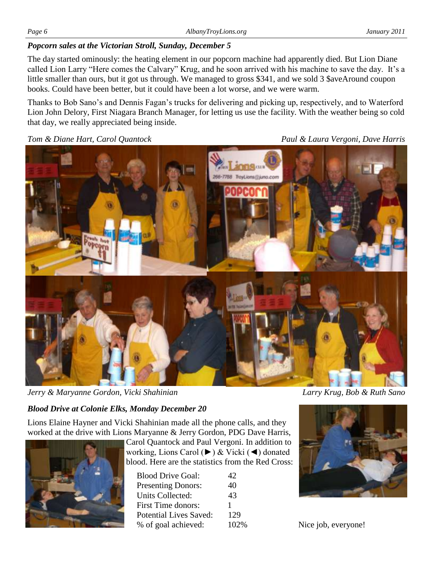## *Popcorn sales at the Victorian Stroll, Sunday, December 5*

The day started ominously: the heating element in our popcorn machine had apparently died. But Lion Diane called Lion Larry "Here comes the Calvary" Krug, and he soon arrived with his machine to save the day. It's a little smaller than ours, but it got us through. We managed to gross \$341, and we sold 3 \$aveAround coupon books. Could have been better, but it could have been a lot worse, and we were warm.

Thanks to Bob Sano's and Dennis Fagan's trucks for delivering and picking up, respectively, and to Waterford Lion John Delory, First Niagara Branch Manager, for letting us use the facility. With the weather being so cold that day, we really appreciated being inside.

*Tom & Diane Hart, Carol Quantock Paul & Laura Vergoni, Dave Harris*



*Jerry & Maryanne Gordon, Vicki Shahinian Larry Krug, Bob & Ruth Sano*

# *Blood Drive at Colonie Elks, Monday December 20*

Lions Elaine Hayner and Vicki Shahinian made all the phone calls, and they worked at the drive with Lions Maryanne & Jerry Gordon, PDG Dave Harris,



Carol Quantock and Paul Vergoni. In addition to working, Lions Carol (►) & Vicki (◄) donated blood. Here are the statistics from the Red Cross:

| <b>Blood Drive Goal:</b>      | 42   |
|-------------------------------|------|
| <b>Presenting Donors:</b>     | 40   |
| <b>Units Collected:</b>       | 43   |
| <b>First Time donors:</b>     |      |
| <b>Potential Lives Saved:</b> | 129  |
| % of goal achieved:           | 102% |



Nice job, everyone!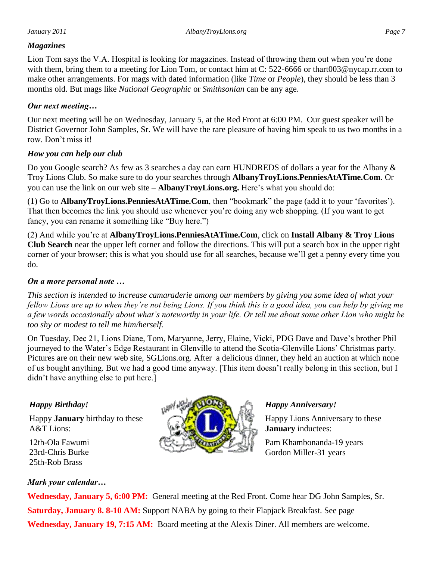### *Magazines*

Lion Tom says the V.A. Hospital is looking for magazines. Instead of throwing them out when you're done with them, bring them to a meeting for Lion Tom, or contact him at C: 522-6666 or thart003@nycap.rr.com to make other arrangements. For mags with dated information (like *Time* or *People*), they should be less than 3 months old. But mags like *National Geographic* or *Smithsonian* can be any age.

# *Our next meeting…*

Our next meeting will be on Wednesday, January 5, at the Red Front at 6:00 PM. Our guest speaker will be District Governor John Samples, Sr. We will have the rare pleasure of having him speak to us two months in a row. Don't miss it!

### *How you can help our club*

Do you Google search? As few as 3 searches a day can earn HUNDREDS of dollars a year for the Albany & Troy Lions Club. So make sure to do your searches through **AlbanyTroyLions.PenniesAtATime.Com**. Or you can use the link on our web site – **AlbanyTroyLions.org.** Here's what you should do:

(1) Go to **AlbanyTroyLions.PenniesAtATime.Com**, then "bookmark" the page (add it to your 'favorites'). That then becomes the link you should use whenever you're doing any web shopping. (If you want to get fancy, you can rename it something like "Buy here.")

(2) And while you're at **AlbanyTroyLions.PenniesAtATime.Com**, click on **Install Albany & Troy Lions Club Search** near the upper left corner and follow the directions. This will put a search box in the upper right corner of your browser; this is what you should use for all searches, because we'll get a penny every time you do.

## *On a more personal note …*

*This section is intended to increase camaraderie among our members by giving you some idea of what your fellow Lions are up to when they're not being Lions. If you think this is a good idea, you can help by giving me a few words occasionally about what's noteworthy in your life. Or tell me about some other Lion who might be too shy or modest to tell me him/herself.*

On Tuesday, Dec 21, Lions Diane, Tom, Maryanne, Jerry, Elaine, Vicki, PDG Dave and Dave's brother Phil journeyed to the Water's Edge Restaurant in Glenville to attend the Scotia-Glenville Lions' Christmas party. Pictures are on their new web site, SGLions.org. After a delicious dinner, they held an auction at which none of us bought anything. But we had a good time anyway. [This item doesn't really belong in this section, but I didn't have anything else to put here.]

# *Happy Birthday!*

Happy **January** birthday to these A&T Lions:

12th-Ola Fawumi 23rd-Chris Burke 25th-Rob Brass

# *Mark your calendar…*



# *Happy Anniversary!*

Happy Lions Anniversary to these **January** inductees:

Pam Khambonanda-19 years Gordon Miller-31 years

**Wednesday, January 5, 6:00 PM:** General meeting at the Red Front. Come hear DG John Samples, Sr. **Saturday, January 8. 8-10 AM:** Support NABA by going to their Flapjack Breakfast. See page **Wednesday, January 19, 7:15 AM:** Board meeting at the Alexis Diner. All members are welcome.